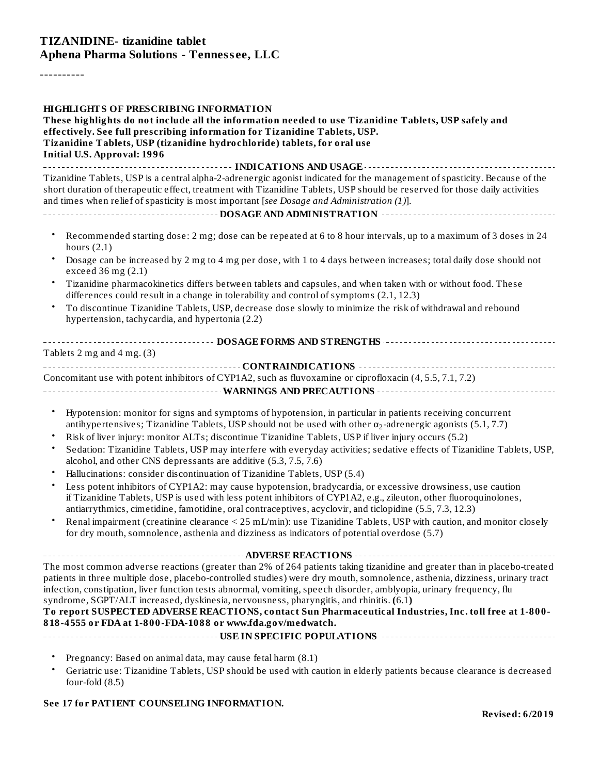#### **TIZANIDINE- tizanidine tablet Aphena Pharma Solutions - Tenness ee, LLC**

----------

| <b>HIGHLIGHTS OF PRESCRIBING INFORMATION</b><br>These highlights do not include all the information needed to use Tizanidine Tablets, USP safely and<br>effectively. See full prescribing information for Tizanidine Tablets, USP.<br>Tizanidine Tablets, USP (tizanidine hydrochloride) tablets, for oral use<br><b>Initial U.S. Approval: 1996</b>                                                                                                                                                                                                                                                                                               |
|----------------------------------------------------------------------------------------------------------------------------------------------------------------------------------------------------------------------------------------------------------------------------------------------------------------------------------------------------------------------------------------------------------------------------------------------------------------------------------------------------------------------------------------------------------------------------------------------------------------------------------------------------|
| Tizanidine Tablets, USP is a central alpha-2-adrenergic agonist indicated for the management of spasticity. Because of the<br>short duration of therapeutic effect, treatment with Tizanidine Tablets, USP should be reserved for those daily activities<br>and times when relief of spasticity is most important [see Dosage and Administration (1)].                                                                                                                                                                                                                                                                                             |
|                                                                                                                                                                                                                                                                                                                                                                                                                                                                                                                                                                                                                                                    |
| Recommended starting dose: 2 mg; dose can be repeated at 6 to 8 hour intervals, up to a maximum of 3 doses in 24<br>$\bullet$<br>hours $(2.1)$                                                                                                                                                                                                                                                                                                                                                                                                                                                                                                     |
| Dosage can be increased by 2 mg to 4 mg per dose, with 1 to 4 days between increases; total daily dose should not<br>$\bullet$<br>exceed 36 mg (2.1)                                                                                                                                                                                                                                                                                                                                                                                                                                                                                               |
| Tizanidine pharmacokinetics differs between tablets and capsules, and when taken with or without food. These<br>$\bullet$<br>differences could result in a change in tolerability and control of symptoms (2.1, 12.3)                                                                                                                                                                                                                                                                                                                                                                                                                              |
| To discontinue Tizanidine Tablets, USP, decrease dose slowly to minimize the risk of withdrawal and rebound<br>$\bullet$<br>hypertension, tachycardia, and hypertonia (2.2)                                                                                                                                                                                                                                                                                                                                                                                                                                                                        |
|                                                                                                                                                                                                                                                                                                                                                                                                                                                                                                                                                                                                                                                    |
| Tablets 2 mg and 4 mg. $(3)$                                                                                                                                                                                                                                                                                                                                                                                                                                                                                                                                                                                                                       |
| Concomitant use with potent inhibitors of CYP1A2, such as fluvoxamine or ciprofloxacin (4, 5.5, 7.1, 7.2)                                                                                                                                                                                                                                                                                                                                                                                                                                                                                                                                          |
|                                                                                                                                                                                                                                                                                                                                                                                                                                                                                                                                                                                                                                                    |
| Hypotension: monitor for signs and symptoms of hypotension, in particular in patients receiving concurrent<br>$\bullet$<br>antihypertensives; Tizanidine Tablets, USP should not be used with other $\alpha_2$ -adrenergic agonists (5.1, 7.7)<br>Risk of liver injury: monitor ALTs; discontinue Tizanidine Tablets, USP if liver injury occurs (5.2)<br>$\bullet$<br>Sedation: Tizanidine Tablets, USP may interfere with everyday activities; sedative effects of Tizanidine Tablets, USP,<br>$\bullet$<br>alcohol, and other CNS depressants are additive (5.3, 7.5, 7.6)                                                                      |
| Hallucinations: consider discontinuation of Tizanidine Tablets, USP (5.4)                                                                                                                                                                                                                                                                                                                                                                                                                                                                                                                                                                          |
| Less potent inhibitors of CYP1A2: may cause hypotension, bradycardia, or excessive drowsiness, use caution<br>$\bullet$<br>if Tizanidine Tablets, USP is used with less potent inhibitors of CYP1A2, e.g., zileuton, other fluoroquinolones,<br>antiarrythmics, cimetidine, famotidine, oral contraceptives, acyclovir, and ticlopidine (5.5, 7.3, 12.3)                                                                                                                                                                                                                                                                                           |
| Renal impairment (creatinine clearance < 25 mL/min): use Tizanidine Tablets, USP with caution, and monitor closely<br>for dry mouth, somnolence, asthenia and dizziness as indicators of potential overdose (5.7)                                                                                                                                                                                                                                                                                                                                                                                                                                  |
| The most common adverse reactions (greater than 2% of 264 patients taking tizanidine and greater than in placebo-treated<br>patients in three multiple dose, placebo-controlled studies) were dry mouth, somnolence, asthenia, dizziness, urinary tract<br>infection, constipation, liver function tests abnormal, vomiting, speech disorder, amblyopia, urinary frequency, flu<br>syndrome, SGPT/ALT increased, dyskinesia, nervousness, pharyngitis, and rhinitis. (6.1)<br>To report SUSPECTED ADVERSE REACTIONS, contact Sun Pharmaceutical Industries, Inc. toll free at 1-800-<br>818-4555 or FDA at 1-800-FDA-1088 or www.fda.gov/medwatch. |
|                                                                                                                                                                                                                                                                                                                                                                                                                                                                                                                                                                                                                                                    |
| Pregnancy: Based on animal data, may cause fetal harm (8.1)<br>Geriatric use: Tizanidine Tablets, USP should be used with caution in elderly patients because clearance is decreased<br>four-fold $(8.5)$                                                                                                                                                                                                                                                                                                                                                                                                                                          |

#### **See 17 for PATIENT COUNSELING INFORMATION.**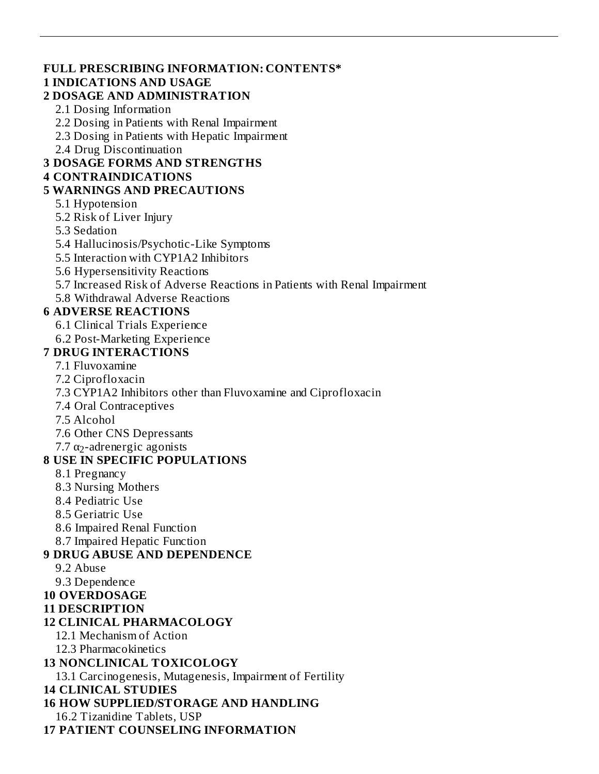#### **FULL PRESCRIBING INFORMATION: CONTENTS\***

#### **1 INDICATIONS AND USAGE**

#### **2 DOSAGE AND ADMINISTRATION**

- 2.1 Dosing Information
- 2.2 Dosing in Patients with Renal Impairment
- 2.3 Dosing in Patients with Hepatic Impairment
- 2.4 Drug Discontinuation

### **3 DOSAGE FORMS AND STRENGTHS**

#### **4 CONTRAINDICATIONS**

#### **5 WARNINGS AND PRECAUTIONS**

### 5.1 Hypotension

- 5.2 Risk of Liver Injury
- 5.3 Sedation
- 5.4 Hallucinosis/Psychotic-Like Symptoms
- 5.5 Interaction with CYP1A2 Inhibitors
- 5.6 Hypersensitivity Reactions
- 5.7 Increased Risk of Adverse Reactions in Patients with Renal Impairment
- 5.8 Withdrawal Adverse Reactions

## **6 ADVERSE REACTIONS**

- 6.1 Clinical Trials Experience
- 6.2 Post-Marketing Experience

## **7 DRUG INTERACTIONS**

- 7.1 Fluvoxamine
- 7.2 Ciprofloxacin
- 7.3 CYP1A2 Inhibitors other than Fluvoxamine and Ciprofloxacin
- 7.4 Oral Contraceptives
- 7.5 Alcohol
- 7.6 Other CNS Depressants
- 7.7  $\alpha_2$ -adrenergic agonists

## **8 USE IN SPECIFIC POPULATIONS**

- 8.1 Pregnancy
- 8.3 Nursing Mothers
- 8.4 Pediatric Use
- 8.5 Geriatric Use
- 8.6 Impaired Renal Function
- 8.7 Impaired Hepatic Function

## **9 DRUG ABUSE AND DEPENDENCE**

- 9.2 Abuse
- 9.3 Dependence
- **10 OVERDOSAGE**
- **11 DESCRIPTION**

## **12 CLINICAL PHARMACOLOGY**

- 12.1 Mechanism of Action
- 12.3 Pharmacokinetics

## **13 NONCLINICAL TOXICOLOGY**

13.1 Carcinogenesis, Mutagenesis, Impairment of Fertility

## **14 CLINICAL STUDIES**

- **16 HOW SUPPLIED/STORAGE AND HANDLING**
	- 16.2 Tizanidine Tablets, USP
- **17 PATIENT COUNSELING INFORMATION**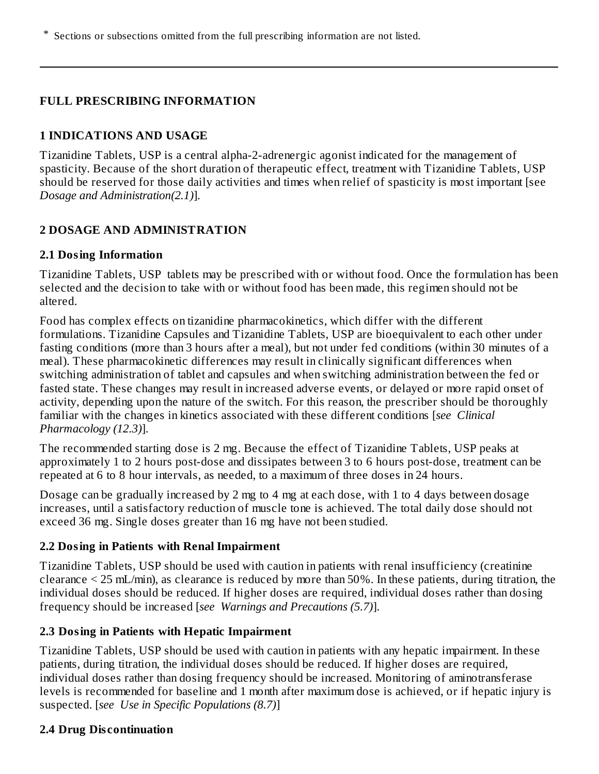\* Sections or subsections omitted from the full prescribing information are not listed.

### **FULL PRESCRIBING INFORMATION**

#### **1 INDICATIONS AND USAGE**

Tizanidine Tablets, USP is a central alpha-2-adrenergic agonist indicated for the management of spasticity. Because of the short duration of therapeutic effect, treatment with Tizanidine Tablets, USP should be reserved for those daily activities and times when relief of spasticity is most important [see *Dosage and Administration(2.1)*].

## **2 DOSAGE AND ADMINISTRATION**

#### **2.1 Dosing Information**

Tizanidine Tablets, USP tablets may be prescribed with or without food. Once the formulation has been selected and the decision to take with or without food has been made, this regimen should not be altered.

Food has complex effects on tizanidine pharmacokinetics, which differ with the different formulations. Tizanidine Capsules and Tizanidine Tablets, USP are bioequivalent to each other under fasting conditions (more than 3 hours after a meal), but not under fed conditions (within 30 minutes of a meal). These pharmacokinetic differences may result in clinically significant differences when switching administration of tablet and capsules and when switching administration between the fed or fasted state. These changes may result in increased adverse events, or delayed or more rapid onset of activity, depending upon the nature of the switch. For this reason, the prescriber should be thoroughly familiar with the changes in kinetics associated with these different conditions [*see Clinical Pharmacology (12.3)*].

The recommended starting dose is 2 mg. Because the effect of Tizanidine Tablets, USP peaks at approximately 1 to 2 hours post-dose and dissipates between 3 to 6 hours post-dose, treatment can be repeated at 6 to 8 hour intervals, as needed, to a maximum of three doses in 24 hours.

Dosage can be gradually increased by 2 mg to 4 mg at each dose, with 1 to 4 days between dosage increases, until a satisfactory reduction of muscle tone is achieved. The total daily dose should not exceed 36 mg. Single doses greater than 16 mg have not been studied.

#### **2.2 Dosing in Patients with Renal Impairment**

Tizanidine Tablets, USP should be used with caution in patients with renal insufficiency (creatinine clearance < 25 mL/min), as clearance is reduced by more than 50%. In these patients, during titration, the individual doses should be reduced. If higher doses are required, individual doses rather than dosing frequency should be increased [*see Warnings and Precautions (5.7)*].

## **2.3 Dosing in Patients with Hepatic Impairment**

Tizanidine Tablets, USP should be used with caution in patients with any hepatic impairment. In these patients, during titration, the individual doses should be reduced. If higher doses are required, individual doses rather than dosing frequency should be increased. Monitoring of aminotransferase levels is recommended for baseline and 1 month after maximum dose is achieved, or if hepatic injury is suspected. [*see Use in Specific Populations (8.7)*]

## **2.4 Drug Dis continuation**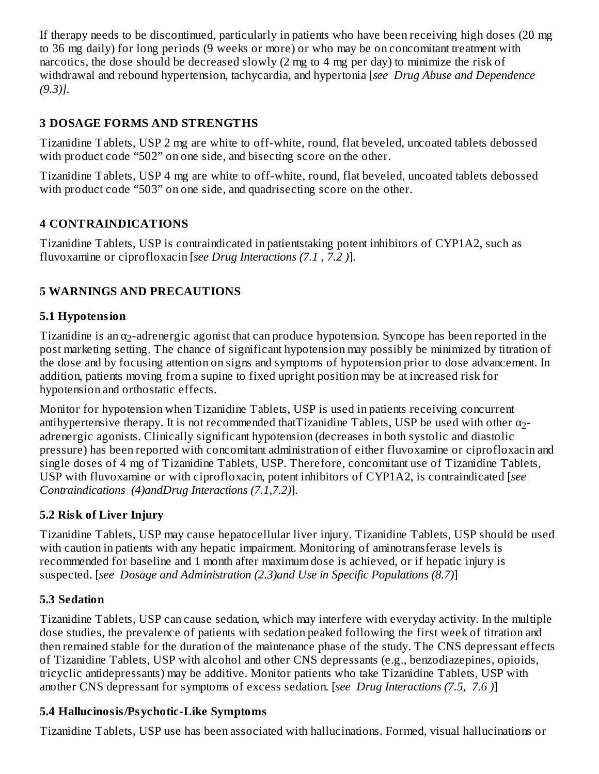If therapy needs to be discontinued, particularly in patients who have been receiving high doses (20 mg to 36 mg daily) for long periods (9 weeks or more) or who may be on concomitant treatment with narcotics, the dose should be decreased slowly (2 mg to 4 mg per day) to minimize the risk of withdrawal and rebound hypertension, tachycardia, and hypertonia [*see Drug Abuse and Dependence (9.3)].*

## **3 DOSAGE FORMS AND STRENGTHS**

Tizanidine Tablets, USP 2 mg are white to off-white, round, flat beveled, uncoated tablets debossed with product code "502" on one side, and bisecting score on the other.

Tizanidine Tablets, USP 4 mg are white to off-white, round, flat beveled, uncoated tablets debossed with product code "503" on one side, and quadrisecting score on the other.

## **4 CONTRAINDICATIONS**

Tizanidine Tablets, USP is contraindicated in patientstaking potent inhibitors of CYP1A2, such as fluvoxamine or ciprofloxacin [*see Drug Interactions (7.1 , 7.2 )*].

## **5 WARNINGS AND PRECAUTIONS**

#### **5.1 Hypotension**

Tizanidine is an  $\alpha_2$ -adrenergic agonist that can produce hypotension. Syncope has been reported in the post marketing setting. The chance of significant hypotension may possibly be minimized by titration of the dose and by focusing attention on signs and symptoms of hypotension prior to dose advancement. In addition, patients moving from a supine to fixed upright position may be at increased risk for hypotension and orthostatic effects.

Monitor for hypotension when Tizanidine Tablets, USP is used in patients receiving concurrent antihypertensive therapy. It is not recommended thatTizanidine Tablets, USP be used with other  $\alpha_2$ adrenergic agonists. Clinically significant hypotension (decreases in both systolic and diastolic pressure) has been reported with concomitant administration of either fluvoxamine or ciprofloxacin and single doses of 4 mg of Tizanidine Tablets, USP. Therefore, concomitant use of Tizanidine Tablets, USP with fluvoxamine or with ciprofloxacin, potent inhibitors of CYP1A2, is contraindicated [*see Contraindications (4)andDrug Interactions (7.1,7.2)*].

## **5.2 Risk of Liver Injury**

Tizanidine Tablets, USP may cause hepatocellular liver injury. Tizanidine Tablets, USP should be used with caution in patients with any hepatic impairment. Monitoring of aminotransferase levels is recommended for baseline and 1 month after maximum dose is achieved, or if hepatic injury is suspected. [*see Dosage and Administration (2.3)and Use in Specific Populations (8.7)*]

#### **5.3 Sedation**

Tizanidine Tablets, USP can cause sedation, which may interfere with everyday activity. In the multiple dose studies, the prevalence of patients with sedation peaked following the first week of titration and then remained stable for the duration of the maintenance phase of the study. The CNS depressant effects of Tizanidine Tablets, USP with alcohol and other CNS depressants (e.g., benzodiazepines, opioids, tricyclic antidepressants) may be additive. Monitor patients who take Tizanidine Tablets, USP with another CNS depressant for symptoms of excess sedation. [*see Drug Interactions (7.5, 7.6 )*]

## **5.4 Hallucinosis/Psychotic-Like Symptoms**

Tizanidine Tablets, USP use has been associated with hallucinations. Formed, visual hallucinations or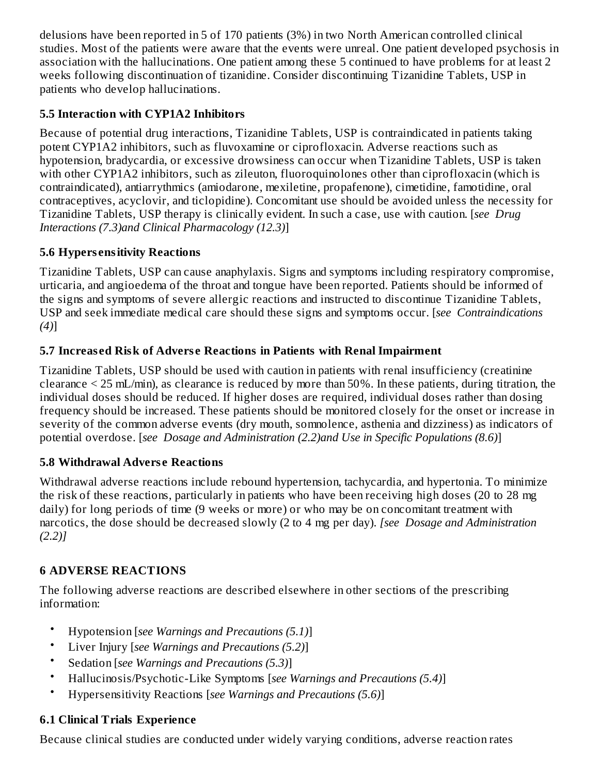delusions have been reported in 5 of 170 patients (3%) in two North American controlled clinical studies. Most of the patients were aware that the events were unreal. One patient developed psychosis in association with the hallucinations. One patient among these 5 continued to have problems for at least 2 weeks following discontinuation of tizanidine. Consider discontinuing Tizanidine Tablets, USP in patients who develop hallucinations.

## **5.5 Interaction with CYP1A2 Inhibitors**

Because of potential drug interactions, Tizanidine Tablets, USP is contraindicated in patients taking potent CYP1A2 inhibitors, such as fluvoxamine or ciprofloxacin. Adverse reactions such as hypotension, bradycardia, or excessive drowsiness can occur when Tizanidine Tablets, USP is taken with other CYP1A2 inhibitors, such as zileuton, fluoroquinolones other than ciprofloxacin (which is contraindicated), antiarrythmics (amiodarone, mexiletine, propafenone), cimetidine, famotidine, oral contraceptives, acyclovir, and ticlopidine). Concomitant use should be avoided unless the necessity for Tizanidine Tablets, USP therapy is clinically evident. In such a case, use with caution. [*see Drug Interactions (7.3)and Clinical Pharmacology (12.3)*]

# **5.6 Hypers ensitivity Reactions**

Tizanidine Tablets, USP can cause anaphylaxis. Signs and symptoms including respiratory compromise, urticaria, and angioedema of the throat and tongue have been reported. Patients should be informed of the signs and symptoms of severe allergic reactions and instructed to discontinue Tizanidine Tablets, USP and seek immediate medical care should these signs and symptoms occur. [*see Contraindications (4)*]

# **5.7 Increas ed Risk of Advers e Reactions in Patients with Renal Impairment**

Tizanidine Tablets, USP should be used with caution in patients with renal insufficiency (creatinine clearance < 25 mL/min), as clearance is reduced by more than 50%. In these patients, during titration, the individual doses should be reduced. If higher doses are required, individual doses rather than dosing frequency should be increased. These patients should be monitored closely for the onset or increase in severity of the common adverse events (dry mouth, somnolence, asthenia and dizziness) as indicators of potential overdose. [*see Dosage and Administration (2.2)and Use in Specific Populations (8.6)*]

# **5.8 Withdrawal Advers e Reactions**

Withdrawal adverse reactions include rebound hypertension, tachycardia, and hypertonia. To minimize the risk of these reactions, particularly in patients who have been receiving high doses (20 to 28 mg daily) for long periods of time (9 weeks or more) or who may be on concomitant treatment with narcotics, the dose should be decreased slowly (2 to 4 mg per day). *[see Dosage and Administration (2.2)]*

# **6 ADVERSE REACTIONS**

The following adverse reactions are described elsewhere in other sections of the prescribing information:

- Hypotension [*see Warnings and Precautions (5.1)*]
- Liver Injury [*see Warnings and Precautions (5.2)*]
- Sedation [*see Warnings and Precautions (5.3)*]
- Hallucinosis/Psychotic-Like Symptoms [*see Warnings and Precautions (5.4)*]
- Hypersensitivity Reactions [*see Warnings and Precautions (5.6)*]

# **6.1 Clinical Trials Experience**

Because clinical studies are conducted under widely varying conditions, adverse reaction rates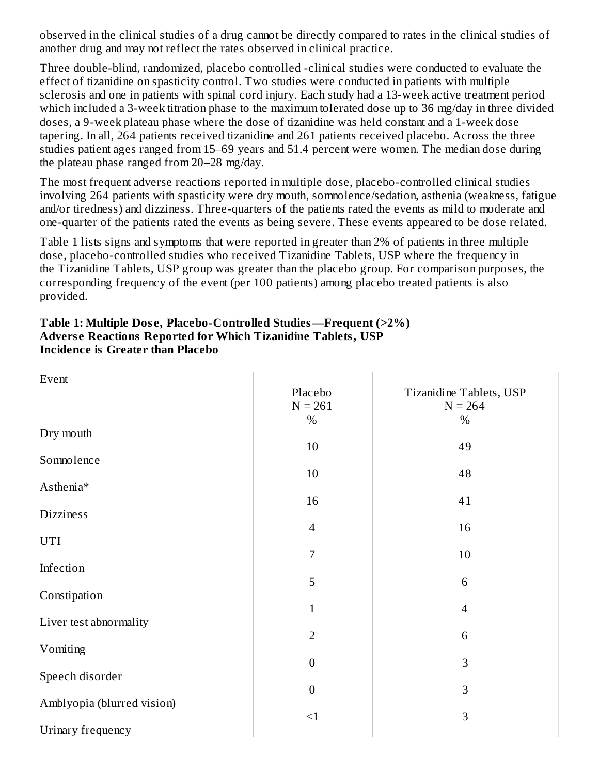observed in the clinical studies of a drug cannot be directly compared to rates in the clinical studies of another drug and may not reflect the rates observed in clinical practice.

Three double-blind, randomized, placebo controlled -clinical studies were conducted to evaluate the effect of tizanidine on spasticity control. Two studies were conducted in patients with multiple sclerosis and one in patients with spinal cord injury. Each study had a 13-week active treatment period which included a 3-week titration phase to the maximum tolerated dose up to 36 mg/day in three divided doses, a 9-week plateau phase where the dose of tizanidine was held constant and a 1-week dose tapering. In all, 264 patients received tizanidine and 261 patients received placebo. Across the three studies patient ages ranged from 15–69 years and 51.4 percent were women. The median dose during the plateau phase ranged from 20–28 mg/day.

The most frequent adverse reactions reported in multiple dose, placebo-controlled clinical studies involving 264 patients with spasticity were dry mouth, somnolence/sedation, asthenia (weakness, fatigue and/or tiredness) and dizziness. Three-quarters of the patients rated the events as mild to moderate and one-quarter of the patients rated the events as being severe. These events appeared to be dose related.

Table 1 lists signs and symptoms that were reported in greater than 2% of patients in three multiple dose, placebo-controlled studies who received Tizanidine Tablets, USP where the frequency in the Tizanidine Tablets, USP group was greater than the placebo group. For comparison purposes, the corresponding frequency of the event (per 100 patients) among placebo treated patients is also provided.

| Table 1: Multiple Dose, Placebo-Controlled Studies—Frequent (>2%) |
|-------------------------------------------------------------------|
| Adverse Reactions Reported for Which Tizanidine Tablets, USP      |
| Incidence is Greater than Placebo                                 |

| Event                      |                  |                          |
|----------------------------|------------------|--------------------------|
|                            | Placebo          | Tizanidine Tablets, USP  |
|                            | $N = 261$        | $N = 264$                |
|                            | $\%$             | $\%$                     |
| Dry mouth                  |                  |                          |
|                            | 10               | 49                       |
| Somnolence                 |                  |                          |
|                            | 10               | 48                       |
| Asthenia*                  |                  |                          |
|                            | 16               | 41                       |
| <b>Dizziness</b>           |                  |                          |
|                            | $\overline{4}$   | 16                       |
| UTI                        |                  |                          |
|                            | 7                | 10                       |
| Infection                  |                  |                          |
|                            | 5                | 6                        |
| Constipation               |                  |                          |
|                            | $\mathbf{1}$     | $\overline{\mathcal{A}}$ |
| Liver test abnormality     |                  |                          |
|                            | $\overline{2}$   | 6                        |
| Vomiting                   |                  |                          |
|                            | $\boldsymbol{0}$ | 3                        |
| Speech disorder            |                  |                          |
|                            | $\boldsymbol{0}$ | 3                        |
| Amblyopia (blurred vision) |                  |                          |
|                            | $\leq$ 1         | 3                        |
| Urinary frequency          |                  |                          |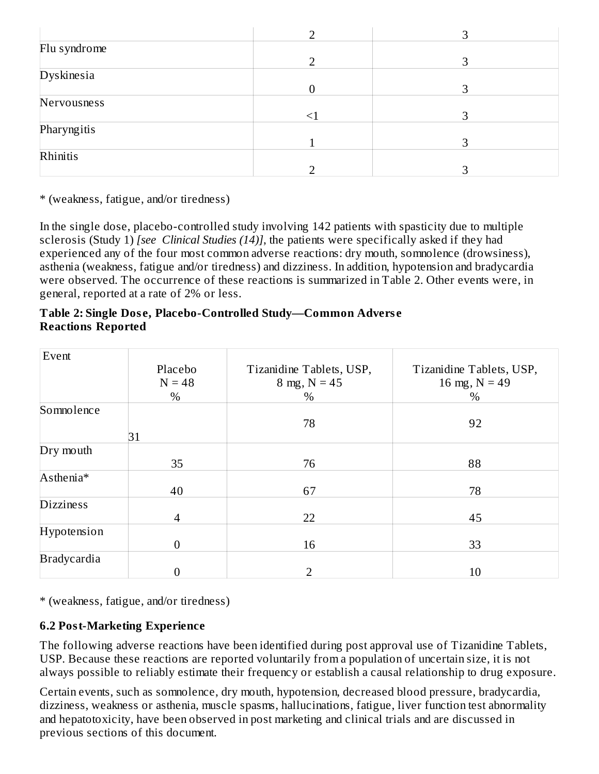| Flu syndrome |    |   |
|--------------|----|---|
|              |    | ר |
| Dyskinesia   |    |   |
|              |    |   |
| Nervousness  |    |   |
|              | ≤1 |   |
| Pharyngitis  |    |   |
|              |    |   |
| Rhinitis     |    |   |
|              |    |   |

\* (weakness, fatigue, and/or tiredness)

In the single dose, placebo-controlled study involving 142 patients with spasticity due to multiple sclerosis (Study 1) *[see Clinical Studies (14)]*, the patients were specifically asked if they had experienced any of the four most common adverse reactions: dry mouth, somnolence (drowsiness), asthenia (weakness, fatigue and/or tiredness) and dizziness. In addition, hypotension and bradycardia were observed. The occurrence of these reactions is summarized in Table 2. Other events were, in general, reported at a rate of 2% or less.

#### **Table 2: Single Dos e, Placebo-Controlled Study—Common Advers e Reactions Reported**

| Event              |                  |                          |                          |
|--------------------|------------------|--------------------------|--------------------------|
|                    | Placebo          | Tizanidine Tablets, USP, | Tizanidine Tablets, USP, |
|                    | $N = 48$         | 8 mg, $N = 45$           | 16 mg, $N = 49$          |
|                    | $\%$             | $\%$                     | $\%$                     |
| Somnolence         |                  |                          |                          |
|                    |                  | 78                       | 92                       |
|                    | 31               |                          |                          |
| Dry mouth          |                  |                          |                          |
|                    | 35               | 76                       | 88                       |
| Asthenia*          |                  |                          |                          |
|                    | 40               | 67                       | 78                       |
| <b>Dizziness</b>   |                  |                          |                          |
|                    | $\overline{4}$   | 22                       | 45                       |
| Hypotension        |                  |                          |                          |
|                    | $\boldsymbol{0}$ | 16                       | 33                       |
| <b>Bradycardia</b> |                  |                          |                          |
|                    | 0                | $\overline{2}$           | 10                       |

\* (weakness, fatigue, and/or tiredness)

## **6.2 Post-Marketing Experience**

The following adverse reactions have been identified during post approval use of Tizanidine Tablets, USP. Because these reactions are reported voluntarily from a population of uncertain size, it is not always possible to reliably estimate their frequency or establish a causal relationship to drug exposure.

Certain events, such as somnolence, dry mouth, hypotension, decreased blood pressure, bradycardia, dizziness, weakness or asthenia, muscle spasms, hallucinations, fatigue, liver function test abnormality and hepatotoxicity, have been observed in post marketing and clinical trials and are discussed in previous sections of this document.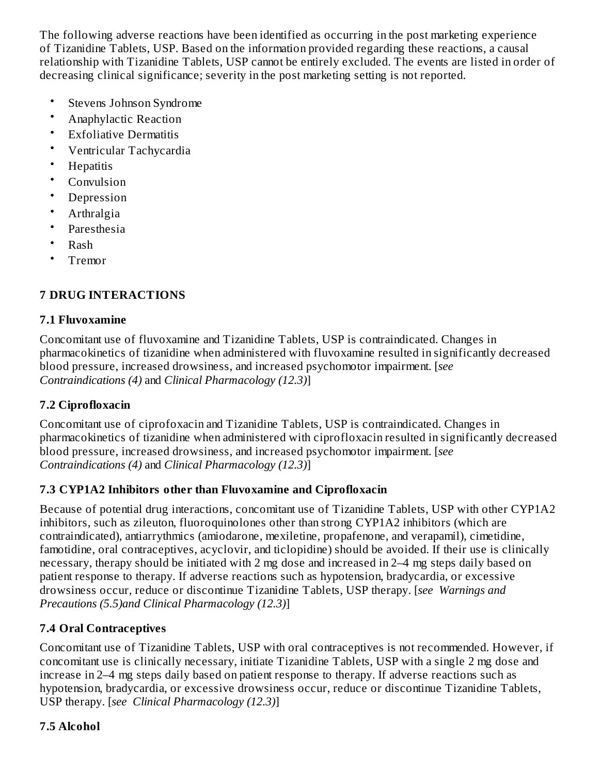The following adverse reactions have been identified as occurring in the post marketing experience of Tizanidine Tablets, USP. Based on the information provided regarding these reactions, a causal relationship with Tizanidine Tablets, USP cannot be entirely excluded. The events are listed in order of decreasing clinical significance; severity in the post marketing setting is not reported.

- Stevens Johnson Syndrome
- Anaphylactic Reaction
- Exfoliative Dermatitis
- Ventricular Tachycardia
- **Hepatitis**
- Convulsion
- Depression
- Arthralgia
- Paresthesia
- Rash
- Tremor

# **7 DRUG INTERACTIONS**

### **7.1 Fluvoxamine**

Concomitant use of fluvoxamine and Tizanidine Tablets, USP is contraindicated. Changes in pharmacokinetics of tizanidine when administered with fluvoxamine resulted in significantly decreased blood pressure, increased drowsiness, and increased psychomotor impairment. [*see Contraindications (4)* and *Clinical Pharmacology (12.3)*]

# **7.2 Ciprofloxacin**

Concomitant use of ciprofoxacin and Tizanidine Tablets, USP is contraindicated. Changes in pharmacokinetics of tizanidine when administered with ciprofloxacin resulted in significantly decreased blood pressure, increased drowsiness, and increased psychomotor impairment. [*see Contraindications (4)* and *Clinical Pharmacology (12.3)*]

## **7.3 CYP1A2 Inhibitors other than Fluvoxamine and Ciprofloxacin**

Because of potential drug interactions, concomitant use of Tizanidine Tablets, USP with other CYP1A2 inhibitors, such as zileuton, fluoroquinolones other than strong CYP1A2 inhibitors (which are contraindicated), antiarrythmics (amiodarone, mexiletine, propafenone, and verapamil), cimetidine, famotidine, oral contraceptives, acyclovir, and ticlopidine) should be avoided. If their use is clinically necessary, therapy should be initiated with 2 mg dose and increased in 2–4 mg steps daily based on patient response to therapy. If adverse reactions such as hypotension, bradycardia, or excessive drowsiness occur, reduce or discontinue Tizanidine Tablets, USP therapy. [*see Warnings and Precautions (5.5)and Clinical Pharmacology (12.3)*]

# **7.4 Oral Contraceptives**

Concomitant use of Tizanidine Tablets, USP with oral contraceptives is not recommended. However, if concomitant use is clinically necessary, initiate Tizanidine Tablets, USP with a single 2 mg dose and increase in 2–4 mg steps daily based on patient response to therapy. If adverse reactions such as hypotension, bradycardia, or excessive drowsiness occur, reduce or discontinue Tizanidine Tablets, USP therapy. [*see Clinical Pharmacology (12.3)*]

# **7.5 Alcohol**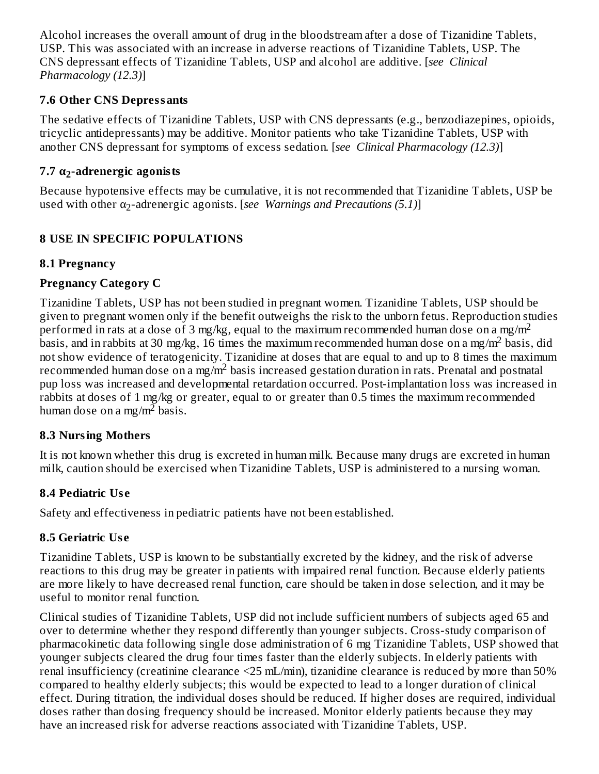Alcohol increases the overall amount of drug in the bloodstream after a dose of Tizanidine Tablets, USP. This was associated with an increase in adverse reactions of Tizanidine Tablets, USP. The CNS depressant effects of Tizanidine Tablets, USP and alcohol are additive. [*see Clinical Pharmacology (12.3)*]

### **7.6 Other CNS Depressants**

The sedative effects of Tizanidine Tablets, USP with CNS depressants (e.g., benzodiazepines, opioids, tricyclic antidepressants) may be additive. Monitor patients who take Tizanidine Tablets, USP with another CNS depressant for symptoms of excess sedation. [*see Clinical Pharmacology (12.3)*]

# **7.7 α -adrenergic agonists 2**

Because hypotensive effects may be cumulative, it is not recommended that Tizanidine Tablets, USP be lused with other α<sub>2</sub>-adrenergic agonists. [*see Warnings and Precautions (5.1)*]

## **8 USE IN SPECIFIC POPULATIONS**

## **8.1 Pregnancy**

## **Pregnancy Category C**

Tizanidine Tablets, USP has not been studied in pregnant women. Tizanidine Tablets, USP should be given to pregnant women only if the benefit outweighs the risk to the unborn fetus. Reproduction studies performed in rats at a dose of 3 mg/kg, equal to the maximum recommended human dose on a mg/m<sup>2</sup> basis, and in rabbits at 30 mg/kg, 16 times the maximum recommended human dose on a mg/m<sup>2</sup> basis, did not show evidence of teratogenicity. Tizanidine at doses that are equal to and up to 8 times the maximum recommended human dose on a mg/m<sup>2</sup> basis increased gestation duration in rats. Prenatal and postnatal pup loss was increased and developmental retardation occurred. Post-implantation loss was increased in rabbits at doses of 1 mg/kg or greater, equal to or greater than 0.5 times the maximum recommended human dose on a mg/m<sup>2</sup> basis.

## **8.3 Nursing Mothers**

It is not known whether this drug is excreted in human milk. Because many drugs are excreted in human milk, caution should be exercised when Tizanidine Tablets, USP is administered to a nursing woman.

## **8.4 Pediatric Us e**

Safety and effectiveness in pediatric patients have not been established.

# **8.5 Geriatric Us e**

Tizanidine Tablets, USP is known to be substantially excreted by the kidney, and the risk of adverse reactions to this drug may be greater in patients with impaired renal function. Because elderly patients are more likely to have decreased renal function, care should be taken in dose selection, and it may be useful to monitor renal function.

Clinical studies of Tizanidine Tablets, USP did not include sufficient numbers of subjects aged 65 and over to determine whether they respond differently than younger subjects. Cross-study comparison of pharmacokinetic data following single dose administration of 6 mg Tizanidine Tablets, USP showed that younger subjects cleared the drug four times faster than the elderly subjects. In elderly patients with renal insufficiency (creatinine clearance <25 mL/min), tizanidine clearance is reduced by more than 50% compared to healthy elderly subjects; this would be expected to lead to a longer duration of clinical effect. During titration, the individual doses should be reduced. If higher doses are required, individual doses rather than dosing frequency should be increased. Monitor elderly patients because they may have an increased risk for adverse reactions associated with Tizanidine Tablets, USP.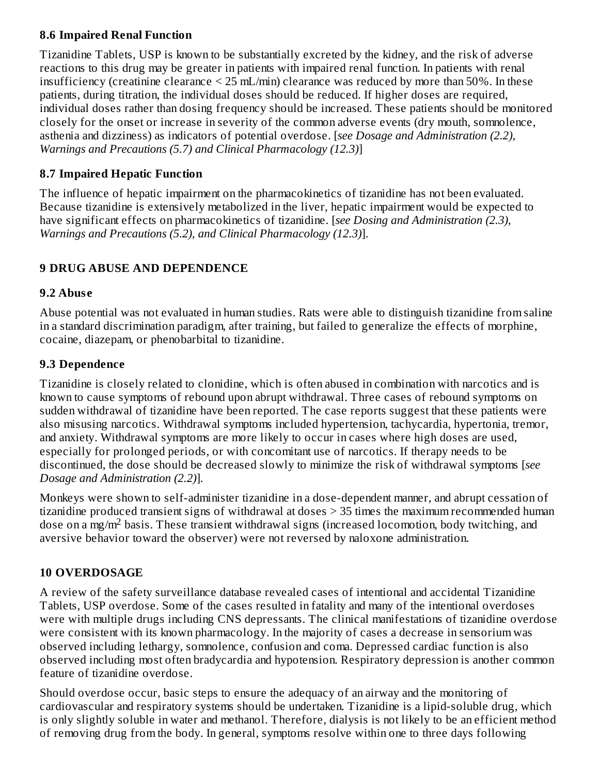### **8.6 Impaired Renal Function**

Tizanidine Tablets, USP is known to be substantially excreted by the kidney, and the risk of adverse reactions to this drug may be greater in patients with impaired renal function. In patients with renal insufficiency (creatinine clearance < 25 mL/min) clearance was reduced by more than 50%. In these patients, during titration, the individual doses should be reduced. If higher doses are required, individual doses rather than dosing frequency should be increased. These patients should be monitored closely for the onset or increase in severity of the common adverse events (dry mouth, somnolence, asthenia and dizziness) as indicators of potential overdose. [*see Dosage and Administration (2.2), Warnings and Precautions (5.7) and Clinical Pharmacology (12.3)*]

### **8.7 Impaired Hepatic Function**

The influence of hepatic impairment on the pharmacokinetics of tizanidine has not been evaluated. Because tizanidine is extensively metabolized in the liver, hepatic impairment would be expected to have significant effects on pharmacokinetics of tizanidine. [*see Dosing and Administration (2.3), Warnings and Precautions (5.2), and Clinical Pharmacology (12.3)*].

## **9 DRUG ABUSE AND DEPENDENCE**

### **9.2 Abus e**

Abuse potential was not evaluated in human studies. Rats were able to distinguish tizanidine from saline in a standard discrimination paradigm, after training, but failed to generalize the effects of morphine, cocaine, diazepam, or phenobarbital to tizanidine.

## **9.3 Dependence**

Tizanidine is closely related to clonidine, which is often abused in combination with narcotics and is known to cause symptoms of rebound upon abrupt withdrawal. Three cases of rebound symptoms on sudden withdrawal of tizanidine have been reported. The case reports suggest that these patients were also misusing narcotics. Withdrawal symptoms included hypertension, tachycardia, hypertonia, tremor, and anxiety. Withdrawal symptoms are more likely to occur in cases where high doses are used, especially for prolonged periods, or with concomitant use of narcotics. If therapy needs to be discontinued, the dose should be decreased slowly to minimize the risk of withdrawal symptoms [*see Dosage and Administration (2.2)*].

Monkeys were shown to self-administer tizanidine in a dose-dependent manner, and abrupt cessation of tizanidine produced transient signs of withdrawal at doses > 35 times the maximum recommended human dose on a mg/m<sup>2</sup> basis. These transient withdrawal signs (increased locomotion, body twitching, and aversive behavior toward the observer) were not reversed by naloxone administration.

## **10 OVERDOSAGE**

A review of the safety surveillance database revealed cases of intentional and accidental Tizanidine Tablets, USP overdose. Some of the cases resulted in fatality and many of the intentional overdoses were with multiple drugs including CNS depressants. The clinical manifestations of tizanidine overdose were consistent with its known pharmacology. In the majority of cases a decrease in sensorium was observed including lethargy, somnolence, confusion and coma. Depressed cardiac function is also observed including most often bradycardia and hypotension. Respiratory depression is another common feature of tizanidine overdose.

Should overdose occur, basic steps to ensure the adequacy of an airway and the monitoring of cardiovascular and respiratory systems should be undertaken. Tizanidine is a lipid-soluble drug, which is only slightly soluble in water and methanol. Therefore, dialysis is not likely to be an efficient method of removing drug from the body. In general, symptoms resolve within one to three days following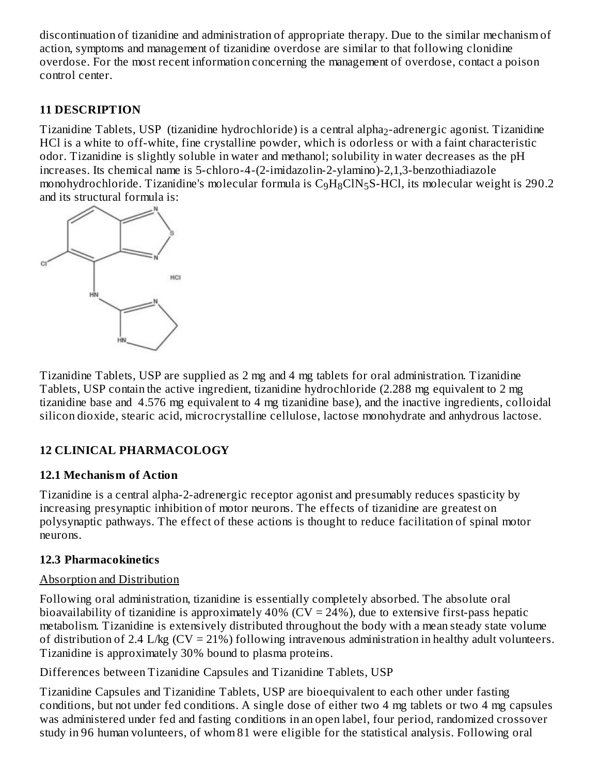discontinuation of tizanidine and administration of appropriate therapy. Due to the similar mechanism of action, symptoms and management of tizanidine overdose are similar to that following clonidine overdose. For the most recent information concerning the management of overdose, contact a poison control center.

### **11 DESCRIPTION**

Tizanidine Tablets, USP (tizanidine hydrochloride) is a central alpha<sub>2</sub>-adrenergic agonist. Tizanidine HCl is a white to off-white, fine crystalline powder, which is odorless or with a faint characteristic odor. Tizanidine is slightly soluble in water and methanol; solubility in water decreases as the pH increases. Its chemical name is 5-chloro-4-(2-imidazolin-2-ylamino)-2,1,3-benzothiadiazole monohydrochloride. Tizanidine's molecular formula is  $\rm{C_9H_8CIN_5S-HCl}$ , its molecular weight is 290.2 and its structural formula is:



Tizanidine Tablets, USP are supplied as 2 mg and 4 mg tablets for oral administration. Tizanidine Tablets, USP contain the active ingredient, tizanidine hydrochloride (2.288 mg equivalent to 2 mg tizanidine base and 4.576 mg equivalent to 4 mg tizanidine base), and the inactive ingredients, colloidal silicon dioxide, stearic acid, microcrystalline cellulose, lactose monohydrate and anhydrous lactose.

## **12 CLINICAL PHARMACOLOGY**

#### **12.1 Mechanism of Action**

Tizanidine is a central alpha-2-adrenergic receptor agonist and presumably reduces spasticity by increasing presynaptic inhibition of motor neurons. The effects of tizanidine are greatest on polysynaptic pathways. The effect of these actions is thought to reduce facilitation of spinal motor neurons.

## **12.3 Pharmacokinetics**

## Absorption and Distribution

Following oral administration, tizanidine is essentially completely absorbed. The absolute oral bioavailability of tizanidine is approximately  $40\%$  (CV = 24%), due to extensive first-pass hepatic metabolism. Tizanidine is extensively distributed throughout the body with a mean steady state volume of distribution of 2.4 L/kg (CV = 21%) following intravenous administration in healthy adult volunteers. Tizanidine is approximately 30% bound to plasma proteins.

Differences between Tizanidine Capsules and Tizanidine Tablets, USP

Tizanidine Capsules and Tizanidine Tablets, USP are bioequivalent to each other under fasting conditions, but not under fed conditions. A single dose of either two 4 mg tablets or two 4 mg capsules was administered under fed and fasting conditions in an open label, four period, randomized crossover study in 96 human volunteers, of whom 81 were eligible for the statistical analysis. Following oral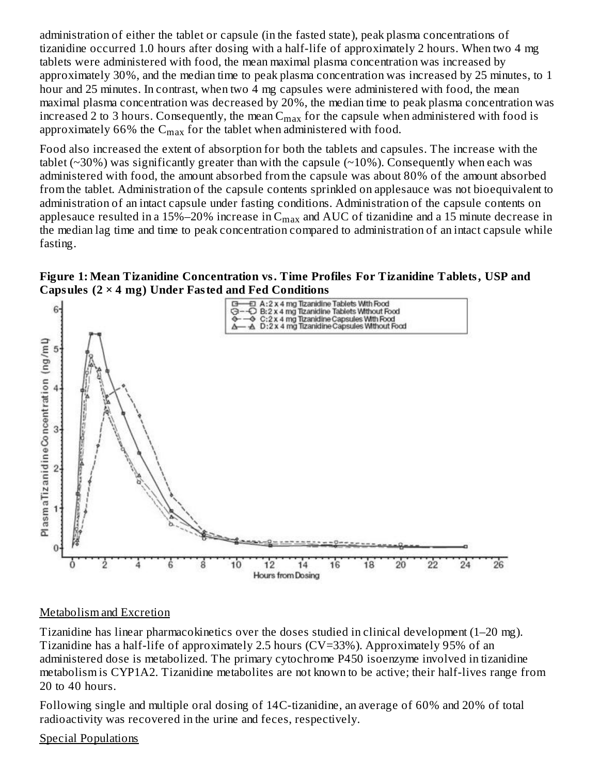administration of either the tablet or capsule (in the fasted state), peak plasma concentrations of tizanidine occurred 1.0 hours after dosing with a half-life of approximately 2 hours. When two 4 mg tablets were administered with food, the mean maximal plasma concentration was increased by approximately 30%, and the median time to peak plasma concentration was increased by 25 minutes, to 1 hour and 25 minutes. In contrast, when two 4 mg capsules were administered with food, the mean maximal plasma concentration was decreased by 20%, the median time to peak plasma concentration was increased 2 to 3 hours. Consequently, the mean  $\mathsf{C}_{\max}$  for the capsule when administered with food is approximately 66% the  $\mathsf{C}_{\max}$  for the tablet when administered with food.

Food also increased the extent of absorption for both the tablets and capsules. The increase with the tablet ( $\sim$ 30%) was significantly greater than with the capsule ( $\sim$ 10%). Consequently when each was administered with food, the amount absorbed from the capsule was about 80% of the amount absorbed from the tablet. Administration of the capsule contents sprinkled on applesauce was not bioequivalent to administration of an intact capsule under fasting conditions. Administration of the capsule contents on applesauce resulted in a 15%–20% increase in  $\rm{C_{max}}$  and  $\rm{AUC}$  of tizanidine and a 15 minute decrease in the median lag time and time to peak concentration compared to administration of an intact capsule while fasting.

#### **Figure 1: Mean Tizanidine Concentration vs. Time Profiles For Tizanidine Tablets, USP and Capsules (2 × 4 mg) Under Fasted and Fed Conditions**



#### Metabolism and Excretion

Tizanidine has linear pharmacokinetics over the doses studied in clinical development (1–20 mg). Tizanidine has a half-life of approximately 2.5 hours (CV=33%). Approximately 95% of an administered dose is metabolized. The primary cytochrome P450 isoenzyme involved in tizanidine metabolism is CYP1A2. Tizanidine metabolites are not known to be active; their half-lives range from 20 to 40 hours.

Following single and multiple oral dosing of 14C-tizanidine, an average of 60% and 20% of total radioactivity was recovered in the urine and feces, respectively.

#### Special Populations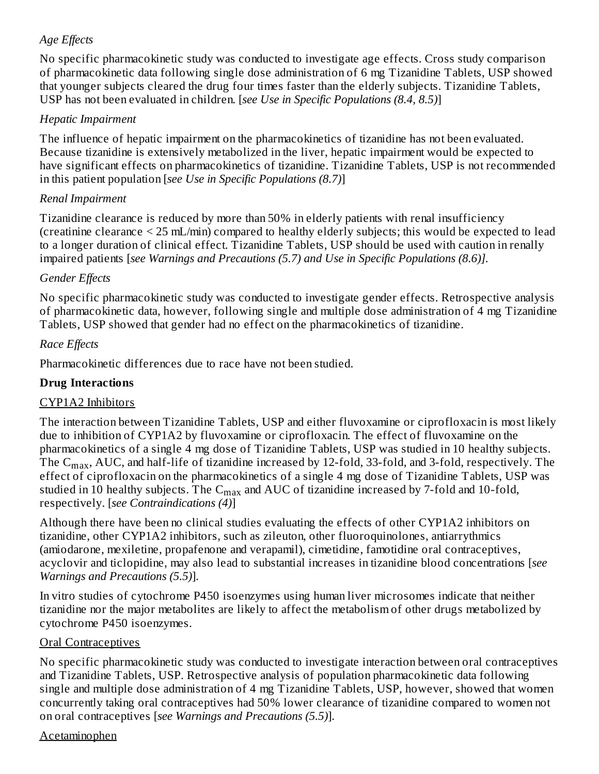## *Age Effects*

No specific pharmacokinetic study was conducted to investigate age effects. Cross study comparison of pharmacokinetic data following single dose administration of 6 mg Tizanidine Tablets, USP showed that younger subjects cleared the drug four times faster than the elderly subjects. Tizanidine Tablets, USP has not been evaluated in children. [*see Use in Specific Populations (8.4, 8.5)*]

## *Hepatic Impairment*

The influence of hepatic impairment on the pharmacokinetics of tizanidine has not been evaluated. Because tizanidine is extensively metabolized in the liver, hepatic impairment would be expected to have significant effects on pharmacokinetics of tizanidine. Tizanidine Tablets, USP is not recommended in this patient population [*see Use in Specific Populations (8.7)*]

## *Renal Impairment*

Tizanidine clearance is reduced by more than 50% in elderly patients with renal insufficiency (creatinine clearance < 25 mL/min) compared to healthy elderly subjects; this would be expected to lead to a longer duration of clinical effect. Tizanidine Tablets, USP should be used with caution in renally impaired patients [*see Warnings and Precautions (5.7) and Use in Specific Populations (8.6)].*

# *Gender Effects*

No specific pharmacokinetic study was conducted to investigate gender effects. Retrospective analysis of pharmacokinetic data, however, following single and multiple dose administration of 4 mg Tizanidine Tablets, USP showed that gender had no effect on the pharmacokinetics of tizanidine.

## *Race Effects*

Pharmacokinetic differences due to race have not been studied.

## **Drug Interactions**

## CYP1A2 Inhibitors

The interaction between Tizanidine Tablets, USP and either fluvoxamine or ciprofloxacin is most likely due to inhibition of CYP1A2 by fluvoxamine or ciprofloxacin. The effect of fluvoxamine on the pharmacokinetics of a single 4 mg dose of Tizanidine Tablets, USP was studied in 10 healthy subjects. The  $\rm C_{max}$ , AUC, and half-life of tizanidine increased by 12-fold, 33-fold, and 3-fold, respectively. The effect of ciprofloxacin on the pharmacokinetics of a single 4 mg dose of Tizanidine Tablets, USP was studied in 10 healthy subjects. The  $\mathsf{C}_{\max}$  and AUC of tizanidine increased by 7-fold and 10-fold, respectively. [*see Contraindications (4)*]

Although there have been no clinical studies evaluating the effects of other CYP1A2 inhibitors on tizanidine, other CYP1A2 inhibitors, such as zileuton, other fluoroquinolones, antiarrythmics (amiodarone, mexiletine, propafenone and verapamil), cimetidine, famotidine oral contraceptives, acyclovir and ticlopidine, may also lead to substantial increases in tizanidine blood concentrations [*see Warnings and Precautions (5.5)*].

In vitro studies of cytochrome P450 isoenzymes using human liver microsomes indicate that neither tizanidine nor the major metabolites are likely to affect the metabolism of other drugs metabolized by cytochrome P450 isoenzymes.

## Oral Contraceptives

No specific pharmacokinetic study was conducted to investigate interaction between oral contraceptives and Tizanidine Tablets, USP. Retrospective analysis of population pharmacokinetic data following single and multiple dose administration of 4 mg Tizanidine Tablets, USP, however, showed that women concurrently taking oral contraceptives had 50% lower clearance of tizanidine compared to women not on oral contraceptives [*see Warnings and Precautions (5.5)*].

## Acetaminophen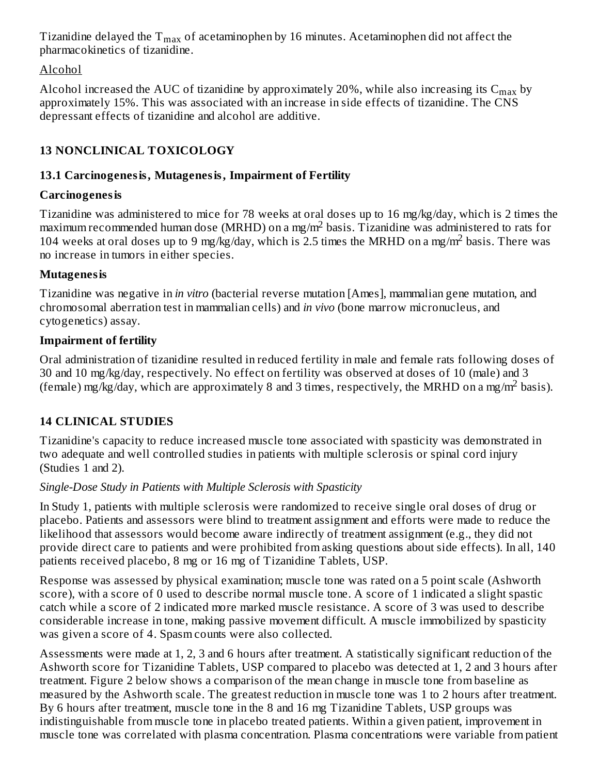Tizanidine delayed the  $\rm T_{max}$  of acetaminophen by 16 minutes. Acetaminophen did not affect the pharmacokinetics of tizanidine.

## Alcohol

Alcohol increased the AUC of tizanidine by approximately 20%, while also increasing its  $\rm{C_{max}}$  by approximately 15%. This was associated with an increase in side effects of tizanidine. The CNS depressant effects of tizanidine and alcohol are additive.

# **13 NONCLINICAL TOXICOLOGY**

## **13.1 Carcinogenesis, Mutagenesis, Impairment of Fertility**

## **Carcinogenesis**

Tizanidine was administered to mice for 78 weeks at oral doses up to 16 mg/kg/day, which is 2 times the  $maximum$  recommended human dose (MRHD) on a mg/m<sup>2</sup> basis. Tizanidine was administered to rats for 104 weeks at oral doses up to 9 mg/kg/day, which is 2.5 times the MRHD on a mg/m<sup>2</sup> basis. There was no increase in tumors in either species.

## **Mutagenesis**

Tizanidine was negative in *in vitro* (bacterial reverse mutation [Ames], mammalian gene mutation, and chromosomal aberration test in mammalian cells) and *in vivo* (bone marrow micronucleus, and cytogenetics) assay.

# **Impairment of fertility**

Oral administration of tizanidine resulted in reduced fertility in male and female rats following doses of 30 and 10 mg/kg/day, respectively. No effect on fertility was observed at doses of 10 (male) and 3 (female) mg/kg/day, which are approximately 8 and 3 times, respectively, the MRHD on a mg/m<sup>2</sup> basis).

# **14 CLINICAL STUDIES**

Tizanidine's capacity to reduce increased muscle tone associated with spasticity was demonstrated in two adequate and well controlled studies in patients with multiple sclerosis or spinal cord injury (Studies 1 and 2).

# *Single-Dose Study in Patients with Multiple Sclerosis with Spasticity*

In Study 1, patients with multiple sclerosis were randomized to receive single oral doses of drug or placebo. Patients and assessors were blind to treatment assignment and efforts were made to reduce the likelihood that assessors would become aware indirectly of treatment assignment (e.g., they did not provide direct care to patients and were prohibited from asking questions about side effects). In all, 140 patients received placebo, 8 mg or 16 mg of Tizanidine Tablets, USP.

Response was assessed by physical examination; muscle tone was rated on a 5 point scale (Ashworth score), with a score of 0 used to describe normal muscle tone. A score of 1 indicated a slight spastic catch while a score of 2 indicated more marked muscle resistance. A score of 3 was used to describe considerable increase in tone, making passive movement difficult. A muscle immobilized by spasticity was given a score of 4. Spasm counts were also collected.

Assessments were made at 1, 2, 3 and 6 hours after treatment. A statistically significant reduction of the Ashworth score for Tizanidine Tablets, USP compared to placebo was detected at 1, 2 and 3 hours after treatment. Figure 2 below shows a comparison of the mean change in muscle tone from baseline as measured by the Ashworth scale. The greatest reduction in muscle tone was 1 to 2 hours after treatment. By 6 hours after treatment, muscle tone in the 8 and 16 mg Tizanidine Tablets, USP groups was indistinguishable from muscle tone in placebo treated patients. Within a given patient, improvement in muscle tone was correlated with plasma concentration. Plasma concentrations were variable from patient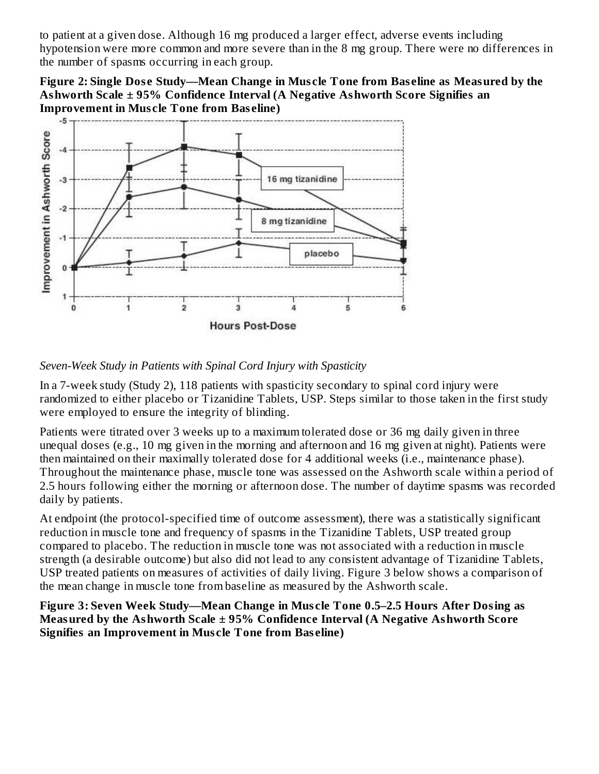to patient at a given dose. Although 16 mg produced a larger effect, adverse events including hypotension were more common and more severe than in the 8 mg group. There were no differences in the number of spasms occurring in each group.

**Figure 2: Single Dos e Study—Mean Change in Mus cle Tone from Bas eline as Measured by the Ashworth Scale ± 95% Confidence Interval (A Negative Ashworth Score Signifies an Improvement in Mus cle Tone from Bas eline)**



### *Seven-Week Study in Patients with Spinal Cord Injury with Spasticity*

In a 7-week study (Study 2), 118 patients with spasticity secondary to spinal cord injury were randomized to either placebo or Tizanidine Tablets, USP. Steps similar to those taken in the first study were employed to ensure the integrity of blinding.

Patients were titrated over 3 weeks up to a maximum tolerated dose or 36 mg daily given in three unequal doses (e.g., 10 mg given in the morning and afternoon and 16 mg given at night). Patients were then maintained on their maximally tolerated dose for 4 additional weeks (i.e., maintenance phase). Throughout the maintenance phase, muscle tone was assessed on the Ashworth scale within a period of 2.5 hours following either the morning or afternoon dose. The number of daytime spasms was recorded daily by patients.

At endpoint (the protocol-specified time of outcome assessment), there was a statistically significant reduction in muscle tone and frequency of spasms in the Tizanidine Tablets, USP treated group compared to placebo. The reduction in muscle tone was not associated with a reduction in muscle strength (a desirable outcome) but also did not lead to any consistent advantage of Tizanidine Tablets, USP treated patients on measures of activities of daily living. Figure 3 below shows a comparison of the mean change in muscle tone from baseline as measured by the Ashworth scale.

**Figure 3: Seven Week Study—Mean Change in Mus cle Tone 0.5–2.5 Hours After Dosing as Measured by the Ashworth Scale ± 95% Confidence Interval (A Negative Ashworth Score Signifies an Improvement in Mus cle Tone from Bas eline)**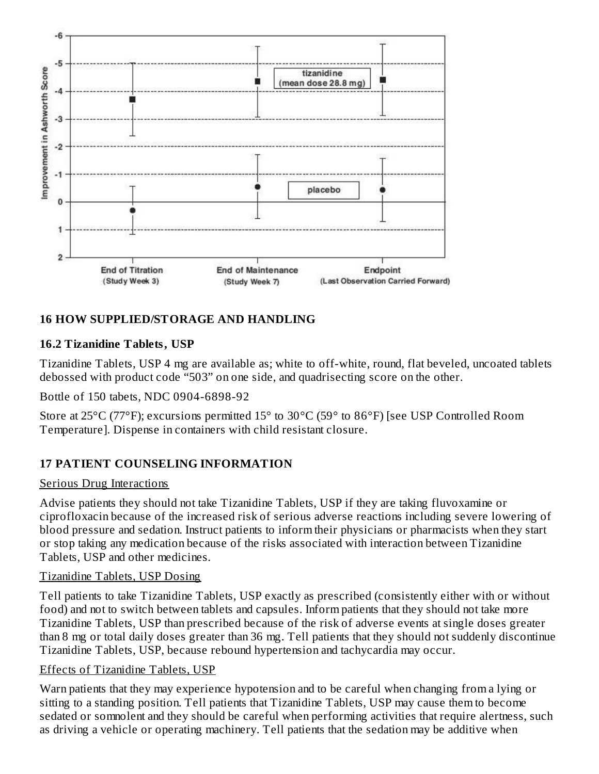

## **16 HOW SUPPLIED/STORAGE AND HANDLING**

#### **16.2 Tizanidine Tablets, USP**

Tizanidine Tablets, USP 4 mg are available as; white to off-white, round, flat beveled, uncoated tablets debossed with product code "503" on one side, and quadrisecting score on the other.

Bottle of 150 tabets, NDC 0904-6898-92

Store at 25°C (77°F); excursions permitted 15° to 30°C (59° to 86°F) [see USP Controlled Room Temperature]. Dispense in containers with child resistant closure.

## **17 PATIENT COUNSELING INFORMATION**

#### Serious Drug Interactions

Advise patients they should not take Tizanidine Tablets, USP if they are taking fluvoxamine or ciprofloxacin because of the increased risk of serious adverse reactions including severe lowering of blood pressure and sedation. Instruct patients to inform their physicians or pharmacists when they start or stop taking any medication because of the risks associated with interaction between Tizanidine Tablets, USP and other medicines.

#### Tizanidine Tablets, USP Dosing

Tell patients to take Tizanidine Tablets, USP exactly as prescribed (consistently either with or without food) and not to switch between tablets and capsules. Inform patients that they should not take more Tizanidine Tablets, USP than prescribed because of the risk of adverse events at single doses greater than 8 mg or total daily doses greater than 36 mg. Tell patients that they should not suddenly discontinue Tizanidine Tablets, USP, because rebound hypertension and tachycardia may occur.

#### Effects of Tizanidine Tablets, USP

Warn patients that they may experience hypotension and to be careful when changing from a lying or sitting to a standing position. Tell patients that Tizanidine Tablets, USP may cause them to become sedated or somnolent and they should be careful when performing activities that require alertness, such as driving a vehicle or operating machinery. Tell patients that the sedation may be additive when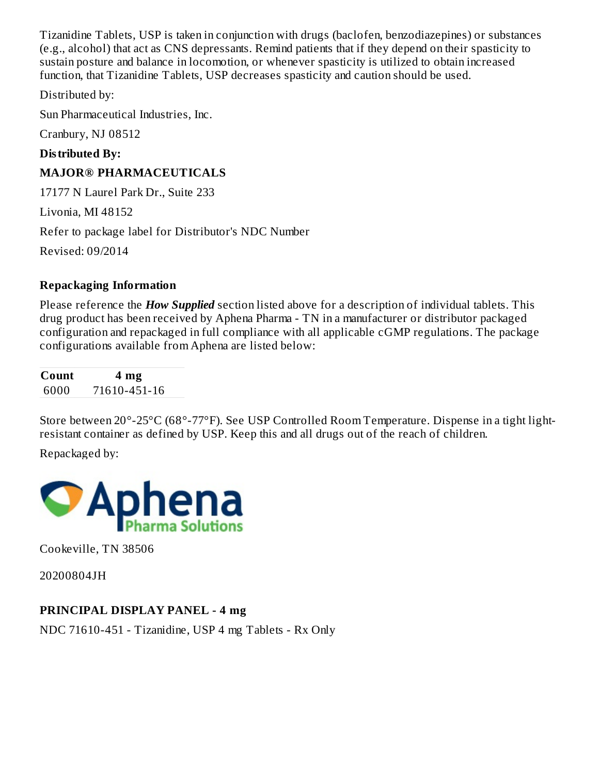Tizanidine Tablets, USP is taken in conjunction with drugs (baclofen, benzodiazepines) or substances (e.g., alcohol) that act as CNS depressants. Remind patients that if they depend on their spasticity to sustain posture and balance in locomotion, or whenever spasticity is utilized to obtain increased function, that Tizanidine Tablets, USP decreases spasticity and caution should be used.

Distributed by:

Sun Pharmaceutical Industries, Inc.

Cranbury, NJ 08512

#### **Distributed By:**

### **MAJOR® PHARMACEUTICALS**

17177 N Laurel Park Dr., Suite 233

Livonia, MI 48152

Refer to package label for Distributor's NDC Number

Revised: 09/2014

#### **Repackaging Information**

Please reference the *How Supplied* section listed above for a description of individual tablets. This drug product has been received by Aphena Pharma - TN in a manufacturer or distributor packaged configuration and repackaged in full compliance with all applicable cGMP regulations. The package configurations available from Aphena are listed below:

**Count 4 mg** 6000 71610-451-16

Store between 20°-25°C (68°-77°F). See USP Controlled Room Temperature. Dispense in a tight lightresistant container as defined by USP. Keep this and all drugs out of the reach of children.

Repackaged by:



Cookeville, TN 38506

20200804JH

#### **PRINCIPAL DISPLAY PANEL - 4 mg**

NDC 71610-451 - Tizanidine, USP 4 mg Tablets - Rx Only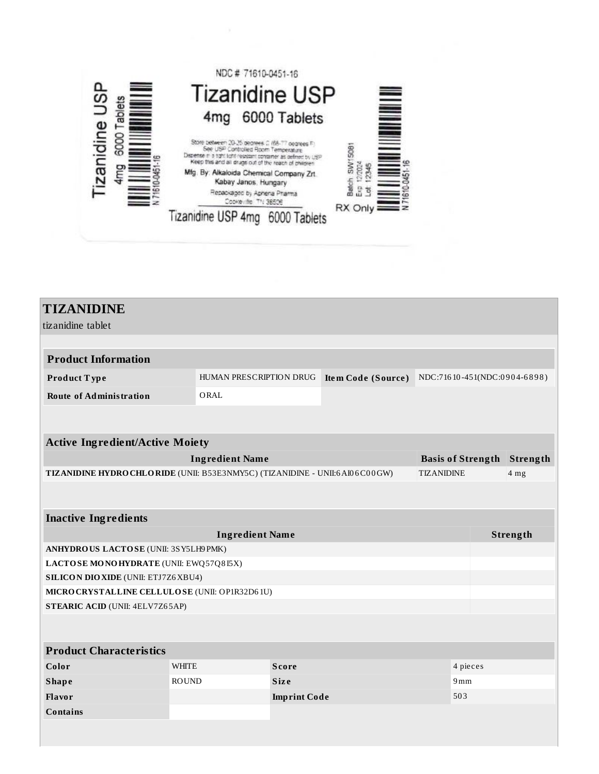

| <b>TIZANIDINE</b>                                                                                |                         |                     |                    |                              |                 |          |
|--------------------------------------------------------------------------------------------------|-------------------------|---------------------|--------------------|------------------------------|-----------------|----------|
|                                                                                                  |                         |                     |                    |                              |                 |          |
| tizanidine tablet                                                                                |                         |                     |                    |                              |                 |          |
|                                                                                                  |                         |                     |                    |                              |                 |          |
| <b>Product Information</b>                                                                       |                         |                     |                    |                              |                 |          |
| Product Type                                                                                     | HUMAN PRESCRIPTION DRUG |                     | Item Code (Source) | NDC:71610-451(NDC:0904-6898) |                 |          |
| <b>Route of Administration</b>                                                                   | ORAL                    |                     |                    |                              |                 |          |
|                                                                                                  |                         |                     |                    |                              |                 |          |
|                                                                                                  |                         |                     |                    |                              |                 |          |
| <b>Active Ingredient/Active Moiety</b>                                                           |                         |                     |                    |                              |                 |          |
|                                                                                                  | <b>Ingredient Name</b>  |                     |                    | <b>Basis of Strength</b>     |                 | Strength |
| TIZANIDINE HYDRO CHLORIDE (UNII: B53E3NMY5C) (TIZANIDINE - UNII:6A106C00GW)<br><b>TIZANIDINE</b> |                         |                     |                    |                              | 4 <sub>mg</sub> |          |
|                                                                                                  |                         |                     |                    |                              |                 |          |
|                                                                                                  |                         |                     |                    |                              |                 |          |
| <b>Inactive Ingredients</b>                                                                      |                         |                     |                    |                              |                 |          |
| <b>Ingredient Name</b>                                                                           |                         |                     |                    |                              | Strength        |          |
| ANHYDROUS LACTOSE (UNII: 3SY5LH9 PMK)                                                            |                         |                     |                    |                              |                 |          |
| LACTOSE MONOHYDRATE (UNII: EWQ57Q8I5X)                                                           |                         |                     |                    |                              |                 |          |
| <b>SILICON DIO XIDE (UNII: ETJ7Z6 XBU4)</b>                                                      |                         |                     |                    |                              |                 |          |
| MICRO CRYSTALLINE CELLULOSE (UNII: OP1R32D61U)                                                   |                         |                     |                    |                              |                 |          |
| <b>STEARIC ACID (UNII: 4ELV7Z65AP)</b>                                                           |                         |                     |                    |                              |                 |          |
|                                                                                                  |                         |                     |                    |                              |                 |          |
| <b>Product Characteristics</b>                                                                   |                         |                     |                    |                              |                 |          |
| Color                                                                                            | <b>WHITE</b>            | <b>Score</b>        |                    | 4 pieces                     |                 |          |
| <b>Shape</b>                                                                                     | <b>ROUND</b>            | <b>Size</b>         |                    | 9mm                          |                 |          |
| Flavor                                                                                           |                         | <b>Imprint Code</b> |                    | 503                          |                 |          |
| <b>Contains</b>                                                                                  |                         |                     |                    |                              |                 |          |
|                                                                                                  |                         |                     |                    |                              |                 |          |